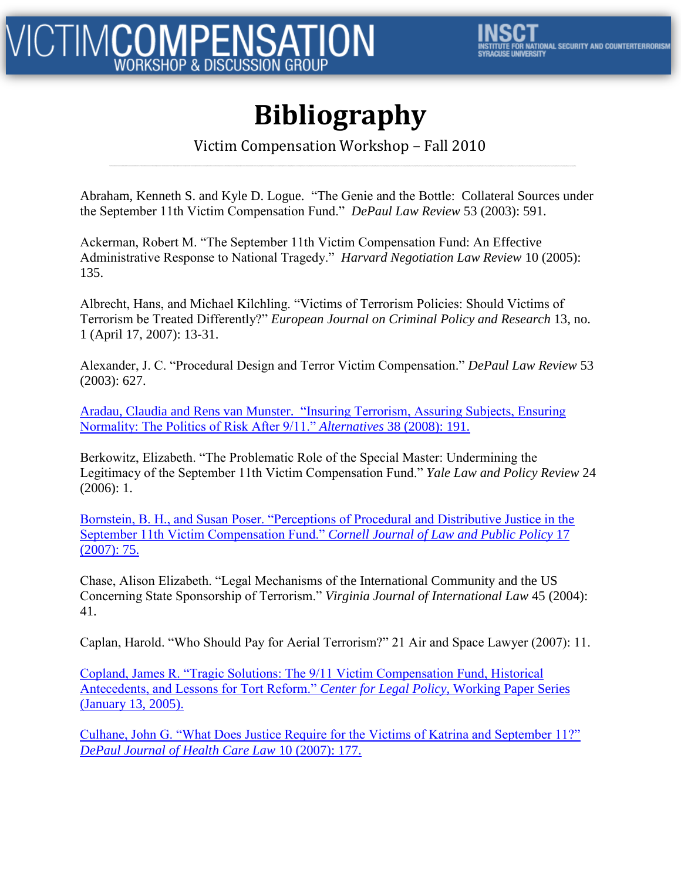## **Bibliography**

#### Victim Compensation Workshop – Fall 2010

Abraham, Kenneth S. and Kyle D. Logue. "The Genie and the Bottle: Collateral Sources under the September 11th Victim Compensation Fund." *DePaul Law Review* 53 (2003): 591.

Ackerman, Robert M. "The September 11th Victim Compensation Fund: An Effective Administrative Response to National Tragedy." *Harvard Negotiation Law Review* 10 (2005): 135.

Albrecht, Hans, and Michael Kilchling. "Victims of Terrorism Policies: Should Victims of Terrorism be Treated Differently?" *European Journal on Criminal Policy and Research* 13, no. 1 (April 17, 2007): 13-31.

Alexander, J. C. "Procedural Design and Terror Victim Compensation." *DePaul Law Review* 53 (2003): 627.

Aradau, Claudia and Rens van Munster. ["Insuring Terrorism, Assuring Subjects, Ensuring](http://www.atypon-link.com/LRP/doi/pdf/10.5555/alte.2008.33.2.191)  [Normality: The Politics of Risk After 9/11."](http://www.atypon-link.com/LRP/doi/pdf/10.5555/alte.2008.33.2.191) *[Alternatives](http://www.atypon-link.com/LRP/doi/pdf/10.5555/alte.2008.33.2.191)* [38 \(2008\): 191.](http://www.atypon-link.com/LRP/doi/pdf/10.5555/alte.2008.33.2.191)

Berkowitz, Elizabeth. "The Problematic Role of the Special Master: Undermining the Legitimacy of the September 11th Victim Compensation Fund." *Yale Law and Policy Review* 24 (2006): 1.

[Bornstein, B. H., and Susan Poser. "Perceptions of Procedural and Distributive Justice in the](http://digitalcommons.unl.edu/cgi/viewcontent.cgi?article=1039&context=lawfacpub)  [September 11th Victim Compensation Fund."](http://digitalcommons.unl.edu/cgi/viewcontent.cgi?article=1039&context=lawfacpub) *[Cornell Journal of Law and Public Policy](http://digitalcommons.unl.edu/cgi/viewcontent.cgi?article=1039&context=lawfacpub)* [17](http://digitalcommons.unl.edu/cgi/viewcontent.cgi?article=1039&context=lawfacpub)  [\(2007\): 75.](http://digitalcommons.unl.edu/cgi/viewcontent.cgi?article=1039&context=lawfacpub)

Chase, Alison Elizabeth. "Legal Mechanisms of the International Community and the US Concerning State Sponsorship of Terrorism." *Virginia Journal of International Law* 45 (2004): 41.

Caplan, Harold. "Who Should Pay for Aerial Terrorism?" 21 Air and Space Lawyer (2007): 11.

[Copland, James R. "Tragic Solutions: The 9/11 Victim Compensation Fund, Historical](http://www.manhattan-institute.org/pdf/clpwp_01-13-05.pdf)  [Antecedents, and Lessons for Tort Reform."](http://www.manhattan-institute.org/pdf/clpwp_01-13-05.pdf) *[Center for Legal Policy](http://www.manhattan-institute.org/pdf/clpwp_01-13-05.pdf)*[, Working Paper Series](http://www.manhattan-institute.org/pdf/clpwp_01-13-05.pdf)  [\(January 13, 2005\).](http://www.manhattan-institute.org/pdf/clpwp_01-13-05.pdf)

[Culhane, John G. "What Does Justice Require for the Victims of Katrina and September 11?"](http://papers.ssrn.com/sol3/papers.cfm?abstract_id=1346028)  *[DePaul Journal of Health Care Law](http://papers.ssrn.com/sol3/papers.cfm?abstract_id=1346028)* [10 \(2007\): 177.](http://papers.ssrn.com/sol3/papers.cfm?abstract_id=1346028)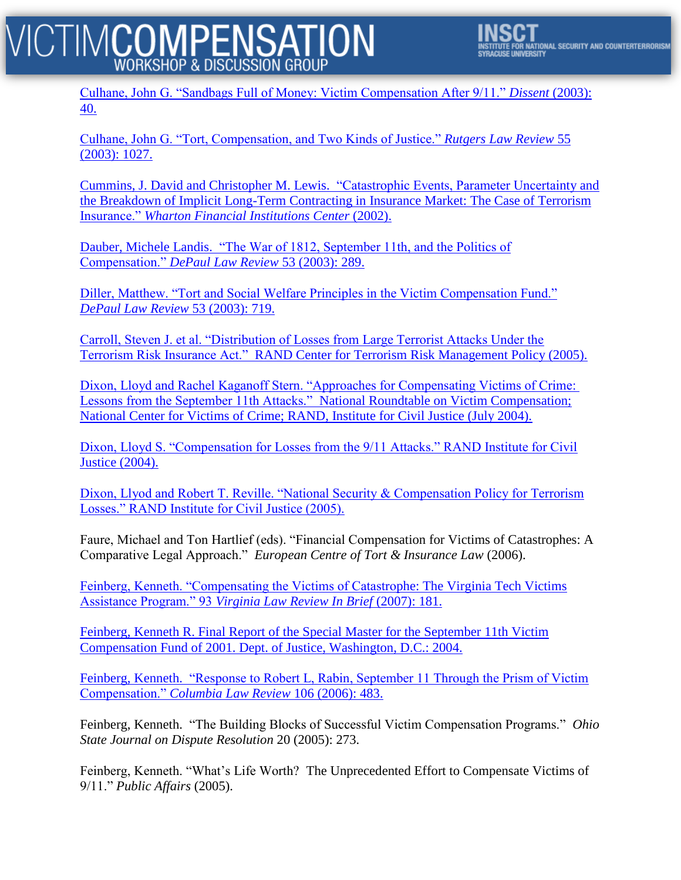#### **ICTIMCOMPENSATION WORKSHOP & DISCUSSION GROUP**



[Culhane, John G. "Sandbags Full of Money: Victim Compensation After 9/11."](http://www.dissentmagazine.org/article/?article=458) *[Dissent](http://www.dissentmagazine.org/article/?article=458)* [\(2003\):](http://www.dissentmagazine.org/article/?article=458)  [40.](http://www.dissentmagazine.org/article/?article=458)

[Culhane, John G. "Tort, Compensation, and Two Kinds of Justice."](http://papers.ssrn.com/sol3/papers.cfm?abstract_id=1367743) *[Rutgers Law Review](http://papers.ssrn.com/sol3/papers.cfm?abstract_id=1367743)* [55](http://papers.ssrn.com/sol3/papers.cfm?abstract_id=1367743)  [\(2003\): 1027.](http://papers.ssrn.com/sol3/papers.cfm?abstract_id=1367743)

Cummins, J. David and Christopher M. Lewis. ["Catastrophic Events, Parameter Uncertainty and](http://fic.wharton.upenn.edu/fic/papers/02/0240.pdf)  [the Breakdown of Implicit Long-Term Contracting in Insurance Market: The Case of Terrorism](http://fic.wharton.upenn.edu/fic/papers/02/0240.pdf)  [Insurance."](http://fic.wharton.upenn.edu/fic/papers/02/0240.pdf) *[Wharton Financial Institutions Center](http://fic.wharton.upenn.edu/fic/papers/02/0240.pdf)* [\(2002\).](http://fic.wharton.upenn.edu/fic/papers/02/0240.pdf)

Dauber, Michele Landis. ["The War of 1812, September 11th, and the Politics of](http://papers.ssrn.com/sol3/papers.cfm?abstract_id=480703)  [Compensation."](http://papers.ssrn.com/sol3/papers.cfm?abstract_id=480703) *[DePaul Law Review](http://papers.ssrn.com/sol3/papers.cfm?abstract_id=480703)* [53 \(2003\): 289.](http://papers.ssrn.com/sol3/papers.cfm?abstract_id=480703)

[Diller, Matthew. "Tort and Social Welfare Principles in the Victim Compensation Fund."](http://papers.ssrn.com/sol3/papers.cfm?abstract_id=491145)  *[DePaul Law Review](http://papers.ssrn.com/sol3/papers.cfm?abstract_id=491145)* [53 \(2003\): 719.](http://papers.ssrn.com/sol3/papers.cfm?abstract_id=491145)

[Carroll, Steven J. et al. "Distribution of Losses from Large Terrorist Attacks Under the](http://www.rand.org/pubs/monographs/2005/RAND_MG427.pdf)  Terrorism Risk Insurance Act." [RAND Center for Terrorism Risk Management Policy \(2005\).](http://www.rand.org/pubs/monographs/2005/RAND_MG427.pdf)

[Dixon, Lloyd and Rachel Kaganoff Stern. "Approaches for Compensating Victims of Crime:](http://www.ncvc.org/ncvc/AGP.Net/Components/documentViewer/Download.aspxnz?DocumentID=32592) Lessons from the September 11th Attacks." [National Roundtable on Victim Compensation;](http://www.ncvc.org/ncvc/AGP.Net/Components/documentViewer/Download.aspxnz?DocumentID=32592)  [National Center for Victims of Crime; RAND, Institute for Civil Justice \(July 2004\).](http://www.ncvc.org/ncvc/AGP.Net/Components/documentViewer/Download.aspxnz?DocumentID=32592)

[Dixon, Lloyd S. "Compensation for Losses from the 9/11 Attacks." RAND Institute for Civil](http://www.rand.org/pubs/monographs/2004/RAND_MG264.pdf)  [Justice \(2004\).](http://www.rand.org/pubs/monographs/2004/RAND_MG264.pdf)

[Dixon, Llyod and Robert T. Reville. "National Security & Compensation Policy for Terrorism](http://www.rand.org/pubs/reprints/2005/RAND_RP1168.pdf)  [Losses." RAND Institute for Civil Justice \(2005\).](http://www.rand.org/pubs/reprints/2005/RAND_RP1168.pdf)

Faure, Michael and Ton Hartlief (eds). "Financial Compensation for Victims of Catastrophes: A Comparative Legal Approach." *European Centre of Tort & Insurance Law* (2006).

[Feinberg, Kenneth. "Compensating the Victims of Catastrophe: The Virginia Tech Victims](http://www.virginialawreview.org/inbrief/2007/08/27/feinberg.pdf)  [Assistance Program." 93](http://www.virginialawreview.org/inbrief/2007/08/27/feinberg.pdf) *[Virginia Law Review In Brief](http://www.virginialawreview.org/inbrief/2007/08/27/feinberg.pdf)* [\(2007\): 181.](http://www.virginialawreview.org/inbrief/2007/08/27/feinberg.pdf)

[Feinberg, Kenneth R. Final Report of the Special Master for the September 11th Victim](http://www.justice.gov/final_report.pdf)  [Compensation Fund of 2001. Dept. of Justice, Washington, D.C.: 2004.](http://www.justice.gov/final_report.pdf)

Feinberg, Kenneth. ["Response to Robert L, Rabin, September 11 Through the Prism of Victim](http://www.columbialawreview.org/assets/pdfs/106/2/Feinberg-Web.pdf)  [Compensation."](http://www.columbialawreview.org/assets/pdfs/106/2/Feinberg-Web.pdf) *[Columbia Law Review](http://www.columbialawreview.org/assets/pdfs/106/2/Feinberg-Web.pdf)* [106 \(2006\): 483.](http://www.columbialawreview.org/assets/pdfs/106/2/Feinberg-Web.pdf)

Feinberg, Kenneth. "The Building Blocks of Successful Victim Compensation Programs." *Ohio State Journal on Dispute Resolution* 20 (2005): 273.

Feinberg, Kenneth. "What's Life Worth? The Unprecedented Effort to Compensate Victims of 9/11." *Public Affairs* (2005).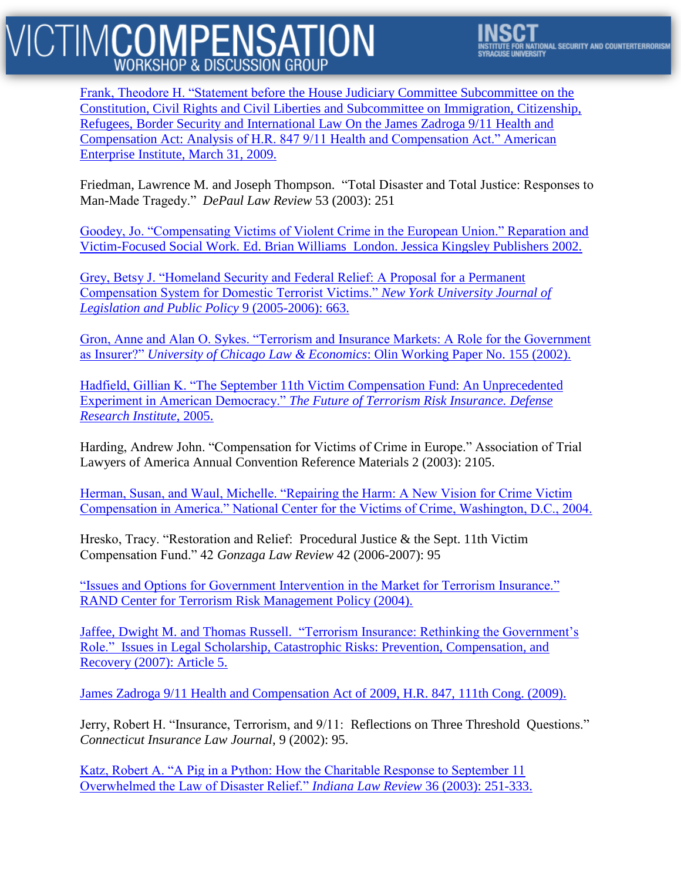### **CTIMCOMPENSATION WORKSHOP & DISCUSSION GROUP**

[Frank, Theodore H. "Statement before the House Judiciary Committee Subcommittee on the](http://papers.ssrn.com/sol3/papers.cfm?abstract_id=1371596)  [Constitution, Civil Rights and Civil Liberties and Subcommittee on Immigration, Citizenship,](http://papers.ssrn.com/sol3/papers.cfm?abstract_id=1371596)  [Refugees, Border Security and International Law On the James Zadroga 9/11 Health and](http://papers.ssrn.com/sol3/papers.cfm?abstract_id=1371596)  [Compensation Act: Analysis of H.R. 847 9/11 Health and Compensation Act." American](http://papers.ssrn.com/sol3/papers.cfm?abstract_id=1371596)  [Enterprise Institute, March 31, 2009.](http://papers.ssrn.com/sol3/papers.cfm?abstract_id=1371596)

Friedman, Lawrence M. and Joseph Thompson. "Total Disaster and Total Justice: Responses to Man-Made Tragedy." *DePaul Law Review* 53 (2003): 251

[Goodey, Jo. "Compensating Victims of Violent Crime in the European Union." Reparation and](http://www.ncvc.org/ncvc/AGP.Net/Components/documentViewer/Download.aspxnz?DocumentID=32594)  [Victim-Focused Social Work. Ed. Brian Williams](http://www.ncvc.org/ncvc/AGP.Net/Components/documentViewer/Download.aspxnz?DocumentID=32594) London. Jessica Kingsley Publishers 2002.

[Grey, Betsy J. "Homeland Security and Federal Relief: A Proposal for a Permanent](http://www.law.nyu.edu/ecm_dlv1/groups/public/@nyu_law_website__journals__journal_of_legislation_and_public_policy/documents/documents/ecm_pro_060732.pdf)  [Compensation System for Domestic Terrorist Victims."](http://www.law.nyu.edu/ecm_dlv1/groups/public/@nyu_law_website__journals__journal_of_legislation_and_public_policy/documents/documents/ecm_pro_060732.pdf) *[New York University Journal of](http://www.law.nyu.edu/ecm_dlv1/groups/public/@nyu_law_website__journals__journal_of_legislation_and_public_policy/documents/documents/ecm_pro_060732.pdf)  Legislation and Public Policy* [9 \(2005-2006\): 663.](http://www.law.nyu.edu/ecm_dlv1/groups/public/@nyu_law_website__journals__journal_of_legislation_and_public_policy/documents/documents/ecm_pro_060732.pdf)

[Gron, Anne and Alan O. Sykes. "Terrorism and Insurance Markets: A Role for the Government](http://papers.ssrn.com/sol3/papers.cfm?abstract_id=319982)  [as Insurer?"](http://papers.ssrn.com/sol3/papers.cfm?abstract_id=319982) *[University of Chicago Law & Economics](http://papers.ssrn.com/sol3/papers.cfm?abstract_id=319982)*[: Olin Working Paper No. 155 \(2002\).](http://papers.ssrn.com/sol3/papers.cfm?abstract_id=319982)

Hadfield, Gillian K. "The [September 11th Victim Compensation Fund: An Unprecedented](http://law.bepress.com/cgi/viewcontent.cgi?article=1028&context=usclwps)  [Experiment in American Democracy."](http://law.bepress.com/cgi/viewcontent.cgi?article=1028&context=usclwps) *[The Future of Terrorism Risk Insurance.](http://law.bepress.com/cgi/viewcontent.cgi?article=1028&context=usclwps) [Defense](http://law.bepress.com/cgi/viewcontent.cgi?article=1028&context=usclwps)  Research Institute*[, 2005.](http://law.bepress.com/cgi/viewcontent.cgi?article=1028&context=usclwps)

Harding, Andrew John. "Compensation for Victims of Crime in Europe." Association of Trial Lawyers of America Annual Convention Reference Materials 2 (2003): 2105.

[Herman, Susan, and Waul, Michelle. "Repairing the Harm: A New Vision for Crime Victim](http://www.ncvc.org/ncvc/AGP.Net/Components/documentViewer/Download.aspxnz?DocumentID=38573)  [Compensation in America." National Center for the Victims of Crime, Washington, D.C., 2004.](http://www.ncvc.org/ncvc/AGP.Net/Components/documentViewer/Download.aspxnz?DocumentID=38573)

Hresko, Tracy. "Restoration and Relief: Procedural Justice & the Sept. 11th Victim Compensation Fund." 42 *Gonzaga Law Review* 42 (2006-2007): 95

["Issues and Options for Government Intervention in the Market for Terrorism Insurance."](http://www.rand.org/pubs/occasional_papers/2005/RAND_OP135.pdf)  [RAND Center for Terrorism Risk Management Policy \(2004\).](http://www.rand.org/pubs/occasional_papers/2005/RAND_OP135.pdf)

Jaffee, Dwight M. and Thomas Russell. ["Terrorism Insurance: Rethinking the Government's](http://faculty.haas.berkeley.edu/jaffee/papers/100ILS07.pdf)  Role." [Issues in Legal Scholarship, Catastrophic Risks: Prevention, Compensation, and](http://faculty.haas.berkeley.edu/jaffee/papers/100ILS07.pdf)  [Recovery \(2007\): Article 5.](http://faculty.haas.berkeley.edu/jaffee/papers/100ILS07.pdf)

[James Zadroga 9/11 Health and Compensation Act of 2009, H.R. 847, 111th Cong. \(2009\).](http://www.govtrack.us/congress/billtext.xpd?bill=h111-847)

Jerry, Robert H. "Insurance, Terrorism, and 9/11: Reflections on Three Threshold Questions." *Connecticut Insurance Law Journal*, 9 (2002): 95.

[Katz, Robert A. "A Pig in a Python: How the Charitable Response to September 11](http://papers.ssrn.com/sol3/papers.cfm?abstract_id=410504)  [Overwhelmed the Law of Disaster Relief."](http://papers.ssrn.com/sol3/papers.cfm?abstract_id=410504) *[Indiana Law Review](http://papers.ssrn.com/sol3/papers.cfm?abstract_id=410504)* [36 \(2003\): 251-333.](http://papers.ssrn.com/sol3/papers.cfm?abstract_id=410504)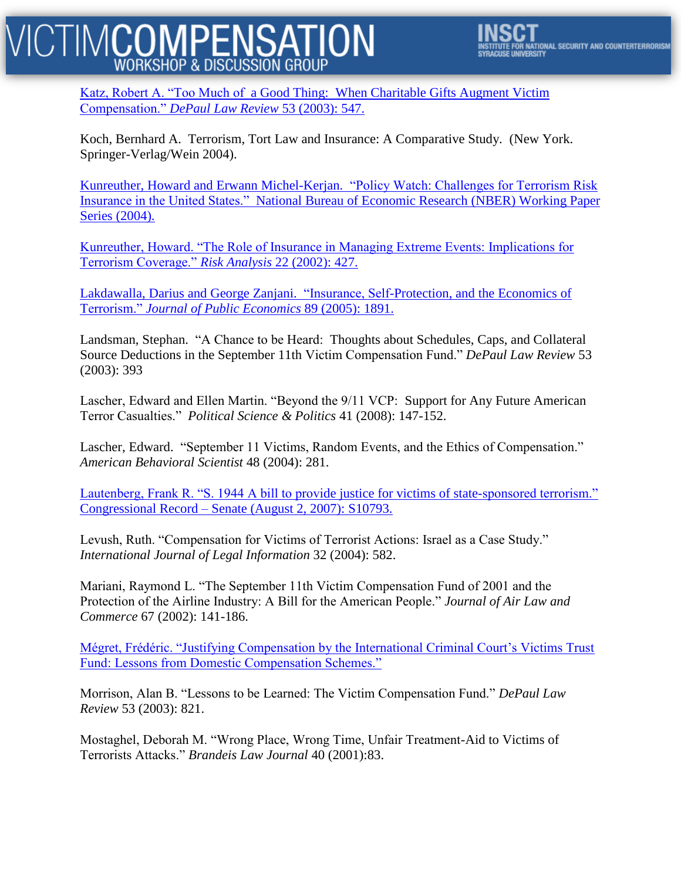#### **CTIMCOMPENSATION WORKSHOP & DISCUSSION GROUP**



Katz, Robert A. "Too Much of a Good Thing: [When Charitable Gifts Augment Victim](http://papers.ssrn.com/sol3/papers.cfm?abstract_id=938565)  [Compensation."](http://papers.ssrn.com/sol3/papers.cfm?abstract_id=938565) *[DePaul Law Review](http://papers.ssrn.com/sol3/papers.cfm?abstract_id=938565)* [53 \(2003\): 547.](http://papers.ssrn.com/sol3/papers.cfm?abstract_id=938565)

Koch, Bernhard A. Terrorism, Tort Law and Insurance: A Comparative Study. (New York. Springer-Verlag/Wein 2004).

[Kunreuther, Howard and Erwann Michel-Kerjan.](http://opim.wharton.upenn.edu/risk/downloads/05-03-HK.pdf) "Policy Watch: Challenges for Terrorism Risk Insurance in the United States." [National Bureau of Economic Research \(NBER\) Working Paper](http://opim.wharton.upenn.edu/risk/downloads/05-03-HK.pdf)  [Series \(2004\).](http://opim.wharton.upenn.edu/risk/downloads/05-03-HK.pdf)

[Kunreuther, Howard. "The Role of Insurance in Managing Extreme Events: Implications for](http://www.ldeo.columbia.edu/chrr/documents/meetings/roundtable/pdf/notes/kunreuther_howard_note.pdf)  [Terrorism Coverage."](http://www.ldeo.columbia.edu/chrr/documents/meetings/roundtable/pdf/notes/kunreuther_howard_note.pdf) *[Risk Analysis](http://www.ldeo.columbia.edu/chrr/documents/meetings/roundtable/pdf/notes/kunreuther_howard_note.pdf)* [22 \(2002\):](http://www.ldeo.columbia.edu/chrr/documents/meetings/roundtable/pdf/notes/kunreuther_howard_note.pdf) 427.

Lakdawalla, Darius and George Zanjani. ["Insurance, Self-Protection, and the Economics of](http://www.rand.org/pubs/working_papers/2005/RAND_WR171.pdf)  [Terrorism."](http://www.rand.org/pubs/working_papers/2005/RAND_WR171.pdf) *[Journal of Public Economics](http://www.rand.org/pubs/working_papers/2005/RAND_WR171.pdf)* [89 \(2005\): 1891.](http://www.rand.org/pubs/working_papers/2005/RAND_WR171.pdf)

Landsman, Stephan. "A Chance to be Heard: Thoughts about Schedules, Caps, and Collateral Source Deductions in the September 11th Victim Compensation Fund." *DePaul Law Review* 53 (2003): 393

Lascher, Edward and Ellen Martin. "Beyond the 9/11 VCP: Support for Any Future American Terror Casualties." *Political Science & Politics* 41 (2008): 147-152.

Lascher, Edward. "September 11 Victims, Random Events, and the Ethics of Compensation." *American Behavioral Scientist* 48 (2004): 281.

[Lautenberg, Frank R. "S. 1944 A bill to provide justice for victims of state-sponsored terrorism."](http://www.govtrack.us/congress/billtext.xpd?bill=s110-1944)  Congressional Record – [Senate \(August 2, 2007\): S10793.](http://www.govtrack.us/congress/billtext.xpd?bill=s110-1944)

Levush, Ruth. "Compensation for Victims of Terrorist Actions: Israel as a Case Study." *International Journal of Legal Information* 32 (2004): 582.

Mariani, Raymond L. "The September 11th Victim Compensation Fund of 2001 and the Protection of the Airline Industry: A Bill for the American People." *Journal of Air Law and Commerce* 67 (2002): 141-186.

[Mégret, Frédéric. "Justifying Compensation by the International Criminal Court's Victims Trust](http://papers.ssrn.com/sol3/papers.cfm?abstract_id=1501295)  [Fund: Lessons from Domestic Compensation Schemes."](http://papers.ssrn.com/sol3/papers.cfm?abstract_id=1501295)

Morrison, Alan B. "Lessons to be Learned: The Victim Compensation Fund." *DePaul Law Review* 53 (2003): 821.

Mostaghel, Deborah M. "Wrong Place, Wrong Time, Unfair Treatment-Aid to Victims of Terrorists Attacks." *Brandeis Law Journal* 40 (2001):83.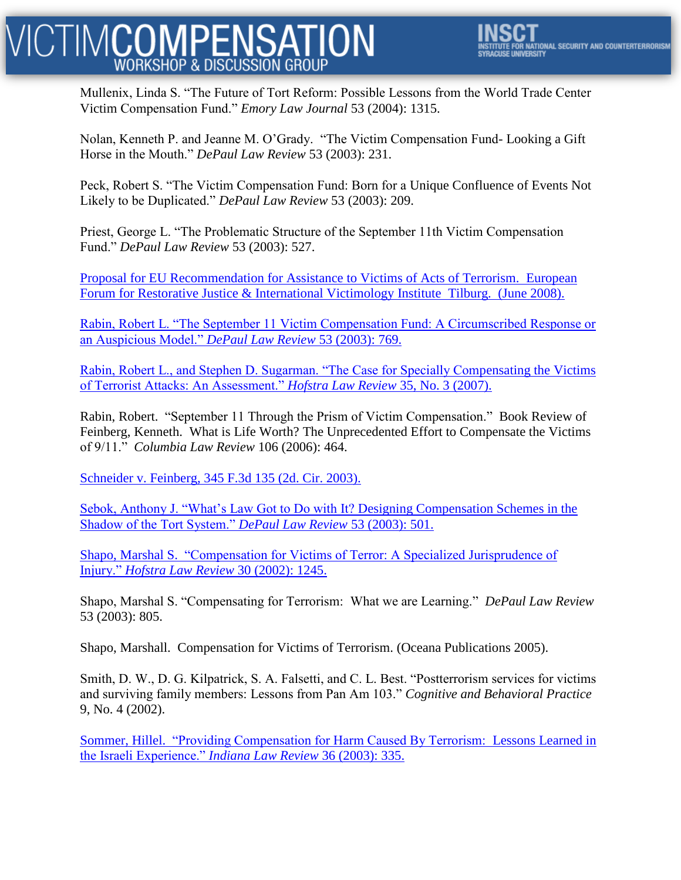### **CTIMCOMPENSATION WORKSHOP & DISCUSSION GROUP**

Mullenix, Linda S. "The Future of Tort Reform: Possible Lessons from the World Trade Center Victim Compensation Fund." *Emory Law Journal* 53 (2004): 1315.

Nolan, Kenneth P. and Jeanne M. O'Grady. "The Victim Compensation Fund- Looking a Gift Horse in the Mouth." *DePaul Law Review* 53 (2003): 231.

Peck, Robert S. "The Victim Compensation Fund: Born for a Unique Confluence of Events Not Likely to be Duplicated." *DePaul Law Review* 53 (2003): 209.

Priest, George L. "The Problematic Structure of the September 11th Victim Compensation Fund." *DePaul Law Review* 53 (2003): 527.

[Proposal for EU Recommendation for Assistance to Victims of Acts of Terrorism.](http://www.euforumrj.org/readingroom/Terrorism/Desvict_EURec0608.pdf) European [Forum for Restorative Justice & International Victimology Institute](http://www.euforumrj.org/readingroom/Terrorism/Desvict_EURec0608.pdf) Tilburg. (June 2008).

[Rabin, Robert L. "The September 11 Victim Compensation Fund: A Circumscribed Response or](http://papers.ssrn.com/sol3/papers.cfm?abstract_id=447960)  [an Auspicious Model."](http://papers.ssrn.com/sol3/papers.cfm?abstract_id=447960) *[DePaul Law Review](http://papers.ssrn.com/sol3/papers.cfm?abstract_id=447960)* [53 \(2003\): 769.](http://papers.ssrn.com/sol3/papers.cfm?abstract_id=447960)

[Rabin, Robert L., and Stephen D. Sugarman. "The Case for Specially Compensating the Victims](http://papers.ssrn.com/sol3/papers.cfm?abstract_id=1097674)  [of Terrorist Attacks: An Assessment."](http://papers.ssrn.com/sol3/papers.cfm?abstract_id=1097674) *[Hofstra Law Review](http://papers.ssrn.com/sol3/papers.cfm?abstract_id=1097674)* [35, No. 3 \(2007\).](http://papers.ssrn.com/sol3/papers.cfm?abstract_id=1097674)

Rabin, Robert. "September 11 Through the Prism of Victim Compensation." Book Review of Feinberg, Kenneth. What is Life Worth? The Unprecedented Effort to Compensate the Victims of 9/11." *Columbia Law Review* 106 (2006): 464.

[Schneider v. Feinberg, 345 F.3d 135 \(2d. Cir. 2003\).](http://scholar.google.com/scholar_case?case=1182846589922536268&hl=en&as_sdt=2&as_vis=1&oi=scholarr)

[Sebok, Anthony J. "What's Law Got to Do with It? Designing Compensation Schemes in the](http://papers.ssrn.com/sol3/papers.cfm?abstract_id=508744)  [Shadow of the Tort System."](http://papers.ssrn.com/sol3/papers.cfm?abstract_id=508744) *[DePaul Law Review](http://papers.ssrn.com/sol3/papers.cfm?abstract_id=508744)* [53 \(2003\): 501.](http://papers.ssrn.com/sol3/papers.cfm?abstract_id=508744)

Shapo, Marshal S. ["Compensation for Victims of Terror: A Specialized Jurisprudence of](http://www.hofstra.edu/PDF/law_shapo.pdf)  [Injury."](http://www.hofstra.edu/PDF/law_shapo.pdf) *[Hofstra Law Review](http://www.hofstra.edu/PDF/law_shapo.pdf)* [30 \(2002\): 1245.](http://www.hofstra.edu/PDF/law_shapo.pdf)

Shapo, Marshal S. "Compensating for Terrorism: What we are Learning." *DePaul Law Review* 53 (2003): 805.

Shapo, Marshall. Compensation for Victims of Terrorism. (Oceana Publications 2005).

Smith, D. W., D. G. Kilpatrick, S. A. Falsetti, and C. L. Best. "Postterrorism services for victims and surviving family members: Lessons from Pan Am 103." *Cognitive and Behavioral Practice* 9, No. 4 (2002).

Sommer, Hillel. ["Providing Compensation for Harm Caused By Terrorism:](http://papers.ssrn.com/sol3/papers.cfm?abstract_id=424280) Lessons Learned in [the Israeli Experience."](http://papers.ssrn.com/sol3/papers.cfm?abstract_id=424280) *[Indiana Law Review](http://papers.ssrn.com/sol3/papers.cfm?abstract_id=424280)* [36 \(2003\): 335.](http://papers.ssrn.com/sol3/papers.cfm?abstract_id=424280)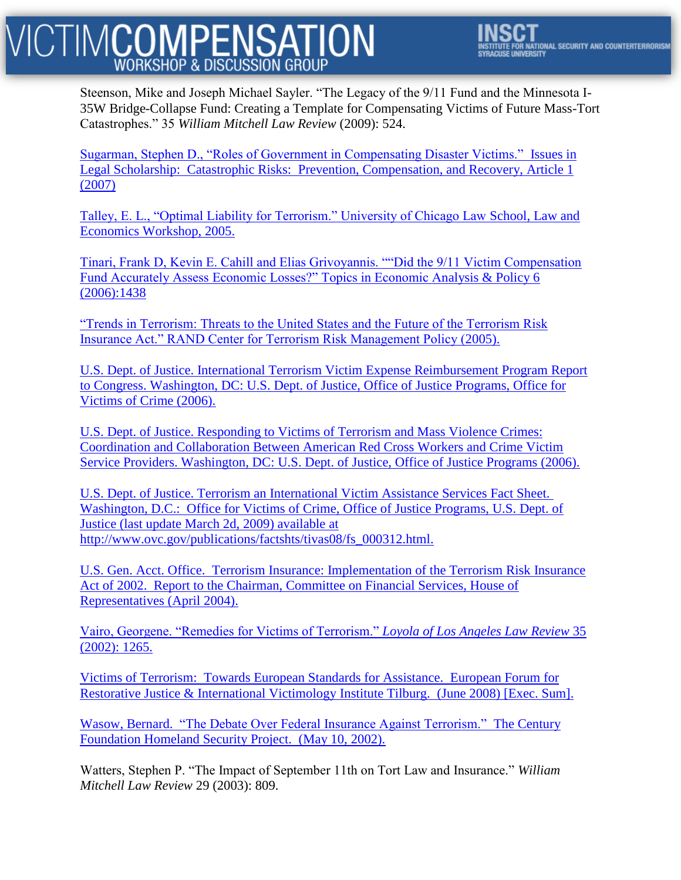# ICTIM**COMPENSATION**

Steenson, Mike and Joseph Michael Sayler. "The Legacy of the 9/11 Fund and the Minnesota I-35W Bridge-Collapse Fund: Creating a Template for Compensating Victims of Future Mass-Tort Catastrophes." 35 *William Mitchell Law Review* (2009): 524.

[Sugarman, Stephen D., "Roles of Government in Compensating Disaster Victims."](http://www.law.berkeley.edu/faculty/sugarmans/Disaster%20losses%20ils%20final.pdf) Issues in Legal Scholarship: Catastrophic Risks: [Prevention, Compensation, and Recovery, Article 1](http://www.law.berkeley.edu/faculty/sugarmans/Disaster%20losses%20ils%20final.pdf)  [\(2007\)](http://www.law.berkeley.edu/faculty/sugarmans/Disaster%20losses%20ils%20final.pdf)

[Talley, E. L., "Optimal Liability for Terrorism." University of Chicago Law School, Law and](http://law.bepress.com/cgi/viewcontent.cgi?article=1040&context=usclwps)  [Economics Workshop, 2005.](http://law.bepress.com/cgi/viewcontent.cgi?article=1040&context=usclwps)

[Tinari, Frank D, Kevin E. Cahill and Elias Grivoyannis. ""Did the 9/11 Victim Compensation](http://www.tinarieconomics.com/pdfs/doc5.pdf)  [Fund Accurately Assess Economic Losses?" Topics in Economic Analysis & Policy 6](http://www.tinarieconomics.com/pdfs/doc5.pdf)  [\(2006\):1438](http://www.tinarieconomics.com/pdfs/doc5.pdf)

["Trends in Terrorism: Threats to the United States and the Future of the Terrorism Risk](http://www.rand.org/pubs/monographs/2005/RAND_MG393.pdf)  [Insurance Act." RAND Center for Terrorism Risk Management Policy \(2005\).](http://www.rand.org/pubs/monographs/2005/RAND_MG393.pdf)

[U.S. Dept. of Justice. International Terrorism Victim Expense Reimbursement Program Report](http://roadwaytocollege.com/go/page.pl/000000A/http/www.ojp.usdoj.gov/ovc/intdir/itverp/pdf/ITVERP_2007_ReporttoCongress.pdf)  [to Congress. Washington, DC: U.S. Dept. of Justice, Office of Justice Programs, Office for](http://roadwaytocollege.com/go/page.pl/000000A/http/www.ojp.usdoj.gov/ovc/intdir/itverp/pdf/ITVERP_2007_ReporttoCongress.pdf)  [Victims of Crime \(2006\).](http://roadwaytocollege.com/go/page.pl/000000A/http/www.ojp.usdoj.gov/ovc/intdir/itverp/pdf/ITVERP_2007_ReporttoCongress.pdf)

[U.S. Dept. of Justice. Responding to Victims of Terrorism and Mass Violence Crimes:](http://www.ojp.usdoj.gov/ovc/publications/infores/redcross/ncj209681.pdf)  [Coordination and Collaboration Between American Red Cross Workers and Crime Victim](http://www.ojp.usdoj.gov/ovc/publications/infores/redcross/ncj209681.pdf)  [Service Providers. Washington, DC: U.S. Dept. of Justice, Office of Justice Programs \(2006\).](http://www.ojp.usdoj.gov/ovc/publications/infores/redcross/ncj209681.pdf)

[U.S. Dept. of Justice. Terrorism an International Victim Assistance Services Fact Sheet.](http://www.ovc.gov/publications/factshts/tivas08/fs_000312.html) Washington, D.C.: [Office for Victims of Crime, Office of Justice Programs, U.S. Dept. of](http://www.ovc.gov/publications/factshts/tivas08/fs_000312.html)  [Justice \(last update March 2d, 2009\) available at](http://www.ovc.gov/publications/factshts/tivas08/fs_000312.html)  [http://www.ovc.gov/publications/factshts/tivas08/fs\\_000312.html.](http://www.ovc.gov/publications/factshts/tivas08/fs_000312.html)

U.S. Gen. Acct. Office. [Terrorism Insurance: Implementation of the Terrorism Risk Insurance](http://www.gao.gov/new.items/d04307.pdf)  Act of 2002. [Report to the Chairman, Committee on Financial Services, House of](http://www.gao.gov/new.items/d04307.pdf)  [Representatives \(April 2004\).](http://www.gao.gov/new.items/d04307.pdf)

[Vairo, Georgene. "Remedies for Victims of Terrorism."](http://llr.lls.edu/volumes/v35-issue4/vairo.pdf) *[Loyola of Los Angeles Law Review](http://llr.lls.edu/volumes/v35-issue4/vairo.pdf)* [35](http://llr.lls.edu/volumes/v35-issue4/vairo.pdf)  [\(2002\): 1265.](http://llr.lls.edu/volumes/v35-issue4/vairo.pdf)

Victims of Terrorism: [Towards European Standards for Assistance.](http://www.euforumrj.org/readingroom/Terrorism/DesVictExecSummary.pdf) European Forum for [Restorative Justice & International Victimology Institute Tilburg.](http://www.euforumrj.org/readingroom/Terrorism/DesVictExecSummary.pdf) (June 2008) [Exec. Sum].

Wasow, Bernard. ["The Debate Over Federal Insurance Against Terrorism."](http://old.911digitalarchive.org/objects/33.pdf) The Century [Foundation Homeland Security Project.](http://old.911digitalarchive.org/objects/33.pdf) (May 10, 2002).

Watters, Stephen P. "The Impact of September 11th on Tort Law and Insurance." *William Mitchell Law Review* 29 (2003): 809.